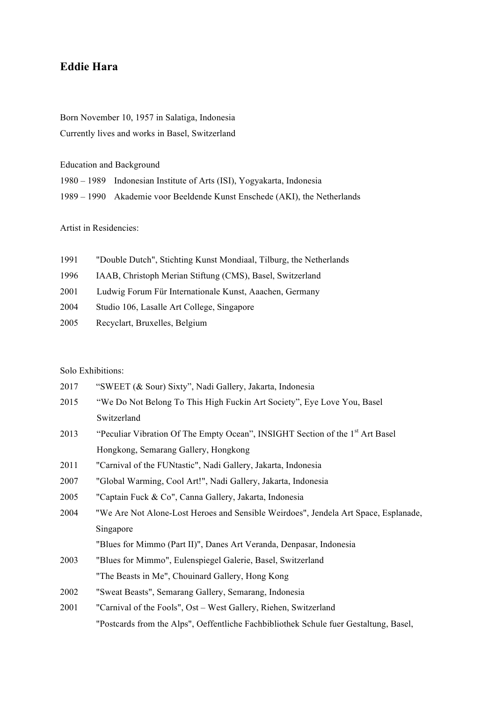## **Eddie Hara**

Born November 10, 1957 in Salatiga, Indonesia Currently lives and works in Basel, Switzerland

Education and Background

| 1980 – 1989 Indonesian Institute of Arts (ISI), Yogyakarta, Indonesia     |
|---------------------------------------------------------------------------|
| 1989 – 1990 Akademie voor Beeldende Kunst Enschede (AKI), the Netherlands |

Artist in Residencies:

| 1991 | "Double Dutch", Stichting Kunst Mondiaal, Tilburg, the Netherlands |
|------|--------------------------------------------------------------------|
| 1996 | IAAB, Christoph Merian Stiftung (CMS), Basel, Switzerland          |
| 2001 | Ludwig Forum Für Internationale Kunst, Aaachen, Germany            |
| 2004 | Studio 106, Lasalle Art College, Singapore                         |
| 2005 | Recyclart, Bruxelles, Belgium                                      |
|      |                                                                    |

Solo Exhibitions:

| 2017 | "SWEET (& Sour) Sixty", Nadi Gallery, Jakarta, Indonesia                                  |
|------|-------------------------------------------------------------------------------------------|
| 2015 | "We Do Not Belong To This High Fuckin Art Society", Eye Love You, Basel                   |
|      | Switzerland                                                                               |
| 2013 | "Peculiar Vibration Of The Empty Ocean", INSIGHT Section of the 1 <sup>st</sup> Art Basel |
|      | Hongkong, Semarang Gallery, Hongkong                                                      |
| 2011 | "Carnival of the FUNtastic", Nadi Gallery, Jakarta, Indonesia                             |
| 2007 | "Global Warming, Cool Art!", Nadi Gallery, Jakarta, Indonesia                             |
| 2005 | "Captain Fuck & Co", Canna Gallery, Jakarta, Indonesia                                    |
| 2004 | "We Are Not Alone-Lost Heroes and Sensible Weirdoes", Jendela Art Space, Esplanade,       |
|      | Singapore                                                                                 |
|      | "Blues for Mimmo (Part II)", Danes Art Veranda, Denpasar, Indonesia                       |
| 2003 | "Blues for Mimmo", Eulenspiegel Galerie, Basel, Switzerland                               |
|      | "The Beasts in Me", Chouinard Gallery, Hong Kong                                          |
| 2002 | "Sweat Beasts", Semarang Gallery, Semarang, Indonesia                                     |
| 2001 | "Carnival of the Fools", Ost – West Gallery, Riehen, Switzerland                          |
|      | "Postcards from the Alps", Oeffentliche Fachbibliothek Schule fuer Gestaltung, Basel,     |
|      |                                                                                           |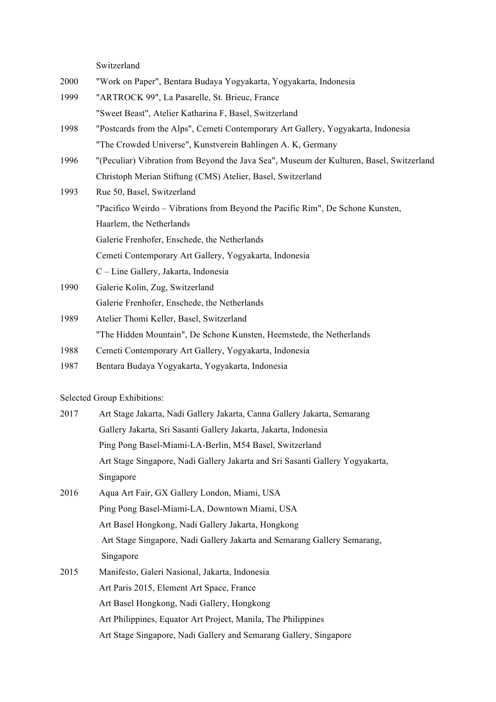Switzerland

- 2000 "Work on Paper", Bentara Budaya Yogyakarta, Yogyakarta, Indonesia
- 1999 "ARTROCK 99", La Pasarelle, St. Brieuc, France "Sweet Beast", Atelier Katharina F, Basel, Switzerland
- 1998 "Postcards from the Alps", Cemeti Contemporary Art Gallery, Yogyakarta, Indonesia "The Crowded Universe", Kunstverein Bahlingen A. K, Germany
- 1996 "(Peculiar) Vibration from Beyond the Java Sea", Museum der Kulturen, Basel, Switzerland Christoph Merian Stiftung (CMS) Atelier, Basel, Switzerland
- 1993 Rue 50, Basel, Switzerland "Pacifico Weirdo – Vibrations from Beyond the Pacific Rim", De Schone Kunsten, Haarlem, the Netherlands Galerie Frenhofer, Enschede, the Netherlands Cemeti Contemporary Art Gallery, Yogyakarta, Indonesia C – Line Gallery, Jakarta, Indonesia
- 1990 Galerie Kolin, Zug, Switzerland Galerie Frenhofer, Enschede, the Netherlands
- 1989 Atelier Thomi Keller, Basel, Switzerland "The Hidden Mountain", De Schone Kunsten, Heemstede, the Netherlands
- 1988 Cemeti Contemporary Art Gallery, Yogyakarta, Indonesia
- 1987 Bentara Budaya Yogyakarta, Yogyakarta, Indonesia

Selected Group Exhibitions:

- 2017 Art Stage Jakarta, Nadi Gallery Jakarta, Canna Gallery Jakarta, Semarang Gallery Jakarta, Sri Sasanti Gallery Jakarta, Jakarta, Indonesia Ping Pong Basel-Miami-LA-Berlin, M54 Basel, Switzerland Art Stage Singapore, Nadi Gallery Jakarta and Sri Sasanti Gallery Yogyakarta, Singapore
- 2016 Aqua Art Fair, GX Gallery London, Miami, USA Ping Pong Basel-Miami-LA, Downtown Miami, USA Art Basel Hongkong, Nadi Gallery Jakarta, Hongkong Art Stage Singapore, Nadi Gallery Jakarta and Semarang Gallery Semarang, Singapore
- 2015 Manifesto, Galeri Nasional, Jakarta, Indonesia Art Paris 2015, Element Art Space, France Art Basel Hongkong, Nadi Gallery, Hongkong Art Philippines, Equator Art Project, Manila, The Philippines Art Stage Singapore, Nadi Gallery and Semarang Gallery, Singapore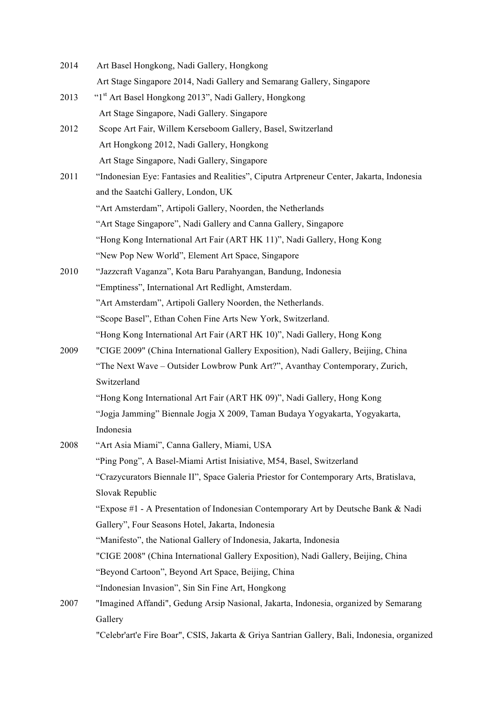| 2014 | Art Basel Hongkong, Nadi Gallery, Hongkong                                                   |
|------|----------------------------------------------------------------------------------------------|
|      | Art Stage Singapore 2014, Nadi Gallery and Semarang Gallery, Singapore                       |
| 2013 | "1st Art Basel Hongkong 2013", Nadi Gallery, Hongkong                                        |
|      | Art Stage Singapore, Nadi Gallery. Singapore                                                 |
| 2012 | Scope Art Fair, Willem Kerseboom Gallery, Basel, Switzerland                                 |
|      | Art Hongkong 2012, Nadi Gallery, Hongkong                                                    |
|      | Art Stage Singapore, Nadi Gallery, Singapore                                                 |
| 2011 | "Indonesian Eye: Fantasies and Realities", Ciputra Artpreneur Center, Jakarta, Indonesia     |
|      | and the Saatchi Gallery, London, UK                                                          |
|      | "Art Amsterdam", Artipoli Gallery, Noorden, the Netherlands                                  |
|      | "Art Stage Singapore", Nadi Gallery and Canna Gallery, Singapore                             |
|      | "Hong Kong International Art Fair (ART HK 11)", Nadi Gallery, Hong Kong                      |
|      | "New Pop New World", Element Art Space, Singapore                                            |
| 2010 | "Jazzcraft Vaganza", Kota Baru Parahyangan, Bandung, Indonesia                               |
|      | "Emptiness", International Art Redlight, Amsterdam.                                          |
|      | "Art Amsterdam", Artipoli Gallery Noorden, the Netherlands.                                  |
|      | "Scope Basel", Ethan Cohen Fine Arts New York, Switzerland.                                  |
|      | "Hong Kong International Art Fair (ART HK 10)", Nadi Gallery, Hong Kong                      |
| 2009 | "CIGE 2009" (China International Gallery Exposition), Nadi Gallery, Beijing, China           |
|      | "The Next Wave - Outsider Lowbrow Punk Art?", Avanthay Contemporary, Zurich,                 |
|      | Switzerland                                                                                  |
|      | "Hong Kong International Art Fair (ART HK 09)", Nadi Gallery, Hong Kong                      |
|      | "Jogja Jamming" Biennale Jogja X 2009, Taman Budaya Yogyakarta, Yogyakarta,                  |
|      | Indonesia                                                                                    |
| 2008 | "Art Asia Miami", Canna Gallery, Miami, USA                                                  |
|      | "Ping Pong", A Basel-Miami Artist Inisiative, M54, Basel, Switzerland                        |
|      | "Crazycurators Biennale II", Space Galeria Priestor for Contemporary Arts, Bratislava,       |
|      | Slovak Republic                                                                              |
|      | "Expose #1 - A Presentation of Indonesian Contemporary Art by Deutsche Bank & Nadi           |
|      | Gallery", Four Seasons Hotel, Jakarta, Indonesia                                             |
|      | "Manifesto", the National Gallery of Indonesia, Jakarta, Indonesia                           |
|      | "CIGE 2008" (China International Gallery Exposition), Nadi Gallery, Beijing, China           |
|      | "Beyond Cartoon", Beyond Art Space, Beijing, China                                           |
|      | "Indonesian Invasion", Sin Sin Fine Art, Hongkong                                            |
| 2007 | "Imagined Affandi", Gedung Arsip Nasional, Jakarta, Indonesia, organized by Semarang         |
|      | Gallery                                                                                      |
|      | "Celebr'art'e Fire Boar", CSIS, Jakarta & Griya Santrian Gallery, Bali, Indonesia, organized |
|      |                                                                                              |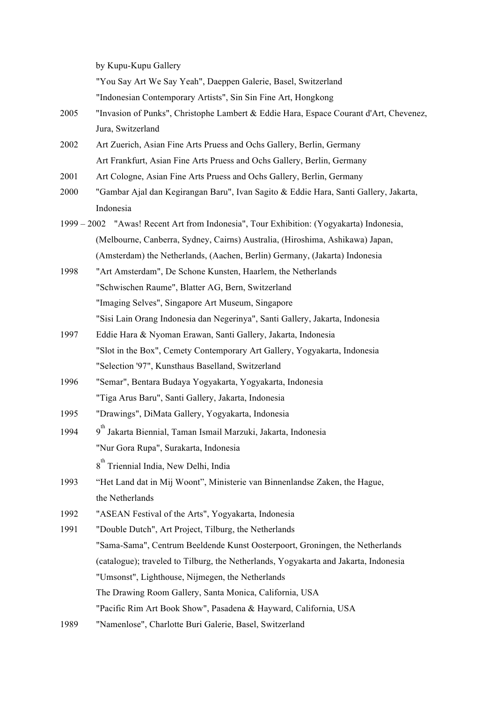by Kupu-Kupu Gallery

"You Say Art We Say Yeah", Daeppen Galerie, Basel, Switzerland

"Indonesian Contemporary Artists", Sin Sin Fine Art, Hongkong

- 2005 "Invasion of Punks", Christophe Lambert & Eddie Hara, Espace Courant d'Art, Chevenez, Jura, Switzerland
- 2002 Art Zuerich, Asian Fine Arts Pruess and Ochs Gallery, Berlin, Germany Art Frankfurt, Asian Fine Arts Pruess and Ochs Gallery, Berlin, Germany
- 2001 Art Cologne, Asian Fine Arts Pruess and Ochs Gallery, Berlin, Germany
- 2000 "Gambar Ajal dan Kegirangan Baru", Ivan Sagito & Eddie Hara, Santi Gallery, Jakarta, Indonesia
- 1999 2002 "Awas! Recent Art from Indonesia", Tour Exhibition: (Yogyakarta) Indonesia, (Melbourne, Canberra, Sydney, Cairns) Australia, (Hiroshima, Ashikawa) Japan, (Amsterdam) the Netherlands, (Aachen, Berlin) Germany, (Jakarta) Indonesia
- 1998 "Art Amsterdam", De Schone Kunsten, Haarlem, the Netherlands "Schwischen Raume", Blatter AG, Bern, Switzerland "Imaging Selves", Singapore Art Museum, Singapore "Sisi Lain Orang Indonesia dan Negerinya", Santi Gallery, Jakarta, Indonesia
- 1997 Eddie Hara & Nyoman Erawan, Santi Gallery, Jakarta, Indonesia "Slot in the Box", Cemety Contemporary Art Gallery, Yogyakarta, Indonesia "Selection '97", Kunsthaus Baselland, Switzerland
- 1996 "Semar", Bentara Budaya Yogyakarta, Yogyakarta, Indonesia "Tiga Arus Baru", Santi Gallery, Jakarta, Indonesia
- 1995 "Drawings", DiMata Gallery, Yogyakarta, Indonesia
- 1994 <sup>th</sup> Jakarta Biennial, Taman Ismail Marzuki, Jakarta, Indonesia "Nur Gora Rupa", Surakarta, Indonesia

8<sup>th</sup> Triennial India, New Delhi, India

- 1993 "Het Land dat in Mij Woont", Ministerie van Binnenlandse Zaken, the Hague, the Netherlands
- 1992 "ASEAN Festival of the Arts", Yogyakarta, Indonesia
- 1991 "Double Dutch", Art Project, Tilburg, the Netherlands "Sama-Sama", Centrum Beeldende Kunst Oosterpoort, Groningen, the Netherlands (catalogue); traveled to Tilburg, the Netherlands, Yogyakarta and Jakarta, Indonesia "Umsonst", Lighthouse, Nijmegen, the Netherlands The Drawing Room Gallery, Santa Monica, California, USA "Pacific Rim Art Book Show", Pasadena & Hayward, California, USA
- 1989 "Namenlose", Charlotte Buri Galerie, Basel, Switzerland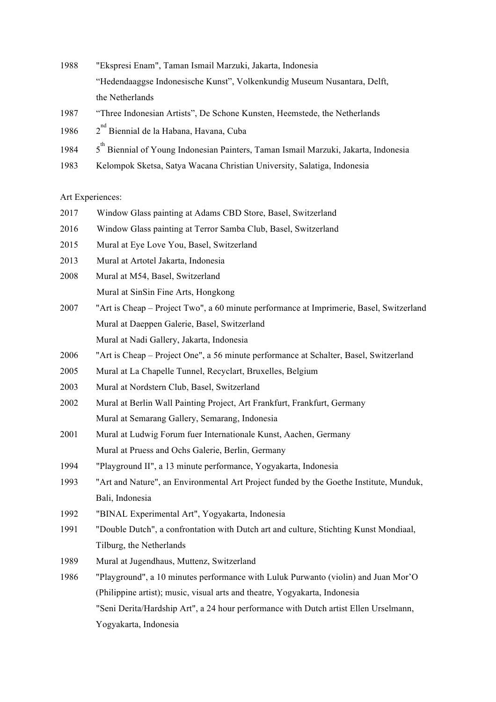- 1988 "Ekspresi Enam", Taman Ismail Marzuki, Jakarta, Indonesia "Hedendaaggse Indonesische Kunst", Volkenkundig Museum Nusantara, Delft, the Netherlands
- 1987 "Three Indonesian Artists", De Schone Kunsten, Heemstede, the Netherlands
- 1986 2 <sup>nd</sup> Biennial de la Habana, Havana, Cuba
- 1984 <sup>th</sup> Biennial of Young Indonesian Painters, Taman Ismail Marzuki, Jakarta, Indonesia
- 1983 Kelompok Sketsa, Satya Wacana Christian University, Salatiga, Indonesia

## Art Experiences:

- 2017 Window Glass painting at Adams CBD Store, Basel, Switzerland
- 2016 Window Glass painting at Terror Samba Club, Basel, Switzerland
- 2015 Mural at Eye Love You, Basel, Switzerland
- 2013 Mural at Artotel Jakarta, Indonesia
- 2008 Mural at M54, Basel, Switzerland Mural at SinSin Fine Arts, Hongkong
- 2007 "Art is Cheap Project Two", a 60 minute performance at Imprimerie, Basel, Switzerland Mural at Daeppen Galerie, Basel, Switzerland Mural at Nadi Gallery, Jakarta, Indonesia
- 2006 "Art is Cheap Project One", a 56 minute performance at Schalter, Basel, Switzerland
- 2005 Mural at La Chapelle Tunnel, Recyclart, Bruxelles, Belgium
- 2003 Mural at Nordstern Club, Basel, Switzerland
- 2002 Mural at Berlin Wall Painting Project, Art Frankfurt, Frankfurt, Germany Mural at Semarang Gallery, Semarang, Indonesia
- 2001 Mural at Ludwig Forum fuer Internationale Kunst, Aachen, Germany Mural at Pruess and Ochs Galerie, Berlin, Germany
- 1994 "Playground II", a 13 minute performance, Yogyakarta, Indonesia
- 1993 "Art and Nature", an Environmental Art Project funded by the Goethe Institute, Munduk, Bali, Indonesia
- 1992 "BINAL Experimental Art", Yogyakarta, Indonesia
- 1991 "Double Dutch", a confrontation with Dutch art and culture, Stichting Kunst Mondiaal, Tilburg, the Netherlands
- 1989 Mural at Jugendhaus, Muttenz, Switzerland
- 1986 "Playground", a 10 minutes performance with Luluk Purwanto (violin) and Juan Mor'O (Philippine artist); music, visual arts and theatre, Yogyakarta, Indonesia "Seni Derita/Hardship Art", a 24 hour performance with Dutch artist Ellen Urselmann, Yogyakarta, Indonesia